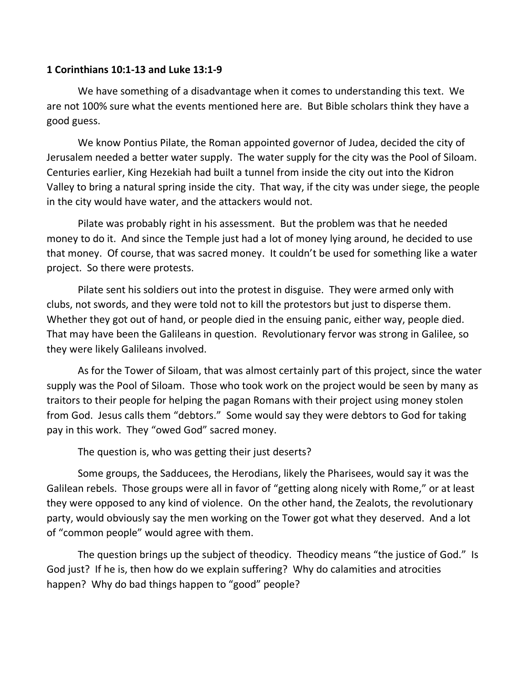## **1 Corinthians 10:1-13 and Luke 13:1-9**

We have something of a disadvantage when it comes to understanding this text. We are not 100% sure what the events mentioned here are. But Bible scholars think they have a good guess.

We know Pontius Pilate, the Roman appointed governor of Judea, decided the city of Jerusalem needed a better water supply. The water supply for the city was the Pool of Siloam. Centuries earlier, King Hezekiah had built a tunnel from inside the city out into the Kidron Valley to bring a natural spring inside the city. That way, if the city was under siege, the people in the city would have water, and the attackers would not.

Pilate was probably right in his assessment. But the problem was that he needed money to do it. And since the Temple just had a lot of money lying around, he decided to use that money. Of course, that was sacred money. It couldn't be used for something like a water project. So there were protests.

Pilate sent his soldiers out into the protest in disguise. They were armed only with clubs, not swords, and they were told not to kill the protestors but just to disperse them. Whether they got out of hand, or people died in the ensuing panic, either way, people died. That may have been the Galileans in question. Revolutionary fervor was strong in Galilee, so they were likely Galileans involved.

As for the Tower of Siloam, that was almost certainly part of this project, since the water supply was the Pool of Siloam. Those who took work on the project would be seen by many as traitors to their people for helping the pagan Romans with their project using money stolen from God. Jesus calls them "debtors." Some would say they were debtors to God for taking pay in this work. They "owed God" sacred money.

The question is, who was getting their just deserts?

Some groups, the Sadducees, the Herodians, likely the Pharisees, would say it was the Galilean rebels. Those groups were all in favor of "getting along nicely with Rome," or at least they were opposed to any kind of violence. On the other hand, the Zealots, the revolutionary party, would obviously say the men working on the Tower got what they deserved. And a lot of "common people" would agree with them.

The question brings up the subject of theodicy. Theodicy means "the justice of God." Is God just? If he is, then how do we explain suffering? Why do calamities and atrocities happen? Why do bad things happen to "good" people?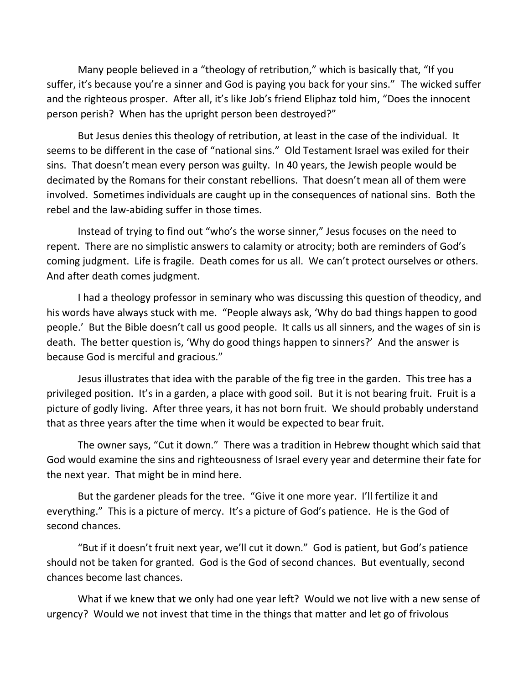Many people believed in a "theology of retribution," which is basically that, "If you suffer, it's because you're a sinner and God is paying you back for your sins." The wicked suffer and the righteous prosper. After all, it's like Job's friend Eliphaz told him, "Does the innocent person perish? When has the upright person been destroyed?"

But Jesus denies this theology of retribution, at least in the case of the individual. It seems to be different in the case of "national sins." Old Testament Israel was exiled for their sins. That doesn't mean every person was guilty. In 40 years, the Jewish people would be decimated by the Romans for their constant rebellions. That doesn't mean all of them were involved. Sometimes individuals are caught up in the consequences of national sins. Both the rebel and the law-abiding suffer in those times.

Instead of trying to find out "who's the worse sinner," Jesus focuses on the need to repent. There are no simplistic answers to calamity or atrocity; both are reminders of God's coming judgment. Life is fragile. Death comes for us all. We can't protect ourselves or others. And after death comes judgment.

I had a theology professor in seminary who was discussing this question of theodicy, and his words have always stuck with me. "People always ask, 'Why do bad things happen to good people.' But the Bible doesn't call us good people. It calls us all sinners, and the wages of sin is death. The better question is, 'Why do good things happen to sinners?' And the answer is because God is merciful and gracious."

Jesus illustrates that idea with the parable of the fig tree in the garden. This tree has a privileged position. It's in a garden, a place with good soil. But it is not bearing fruit. Fruit is a picture of godly living. After three years, it has not born fruit. We should probably understand that as three years after the time when it would be expected to bear fruit.

The owner says, "Cut it down." There was a tradition in Hebrew thought which said that God would examine the sins and righteousness of Israel every year and determine their fate for the next year. That might be in mind here.

But the gardener pleads for the tree. "Give it one more year. I'll fertilize it and everything." This is a picture of mercy. It's a picture of God's patience. He is the God of second chances.

"But if it doesn't fruit next year, we'll cut it down." God is patient, but God's patience should not be taken for granted. God is the God of second chances. But eventually, second chances become last chances.

What if we knew that we only had one year left? Would we not live with a new sense of urgency? Would we not invest that time in the things that matter and let go of frivolous